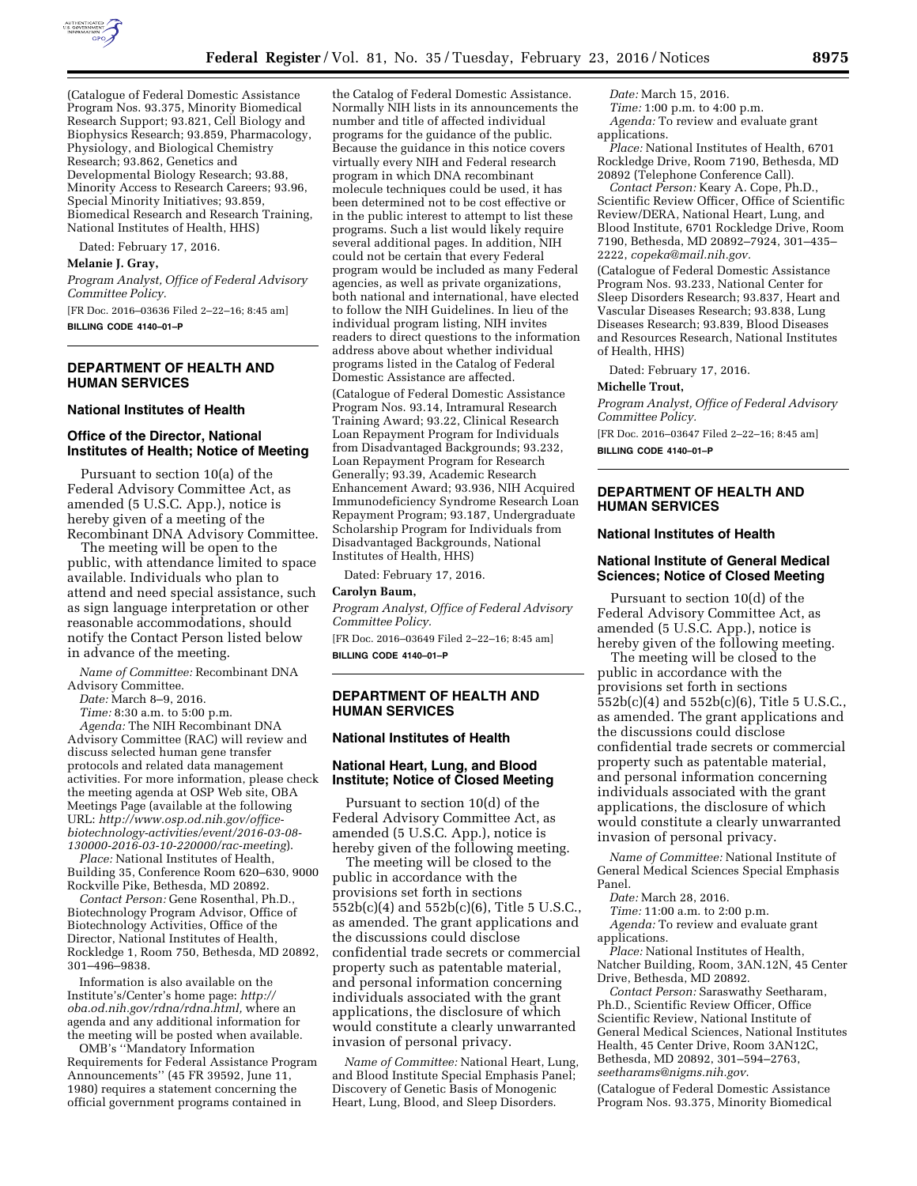

(Catalogue of Federal Domestic Assistance Program Nos. 93.375, Minority Biomedical Research Support; 93.821, Cell Biology and Biophysics Research; 93.859, Pharmacology, Physiology, and Biological Chemistry Research; 93.862, Genetics and Developmental Biology Research; 93.88, Minority Access to Research Careers; 93.96, Special Minority Initiatives; 93.859, Biomedical Research and Research Training, National Institutes of Health, HHS)

Dated: February 17, 2016.

**Melanie J. Gray,** 

*Program Analyst, Office of Federal Advisory Committee Policy.* 

[FR Doc. 2016–03636 Filed 2–22–16; 8:45 am] **BILLING CODE 4140–01–P** 

# **DEPARTMENT OF HEALTH AND HUMAN SERVICES**

### **National Institutes of Health**

### **Office of the Director, National Institutes of Health; Notice of Meeting**

Pursuant to section 10(a) of the Federal Advisory Committee Act, as amended (5 U.S.C. App.), notice is hereby given of a meeting of the Recombinant DNA Advisory Committee.

The meeting will be open to the public, with attendance limited to space available. Individuals who plan to attend and need special assistance, such as sign language interpretation or other reasonable accommodations, should notify the Contact Person listed below in advance of the meeting.

*Name of Committee:* Recombinant DNA Advisory Committee.

*Date:* March 8–9, 2016.

*Time:* 8:30 a.m. to 5:00 p.m.

*Agenda:* The NIH Recombinant DNA Advisory Committee (RAC) will review and discuss selected human gene transfer protocols and related data management activities. For more information, please check the meeting agenda at OSP Web site, OBA Meetings Page (available at the following URL: *[http://www.osp.od.nih.gov/office](http://www.osp.od.nih.gov/office-biotechnology-activities/event/2016-03-08-130000-2016-03-10-220000/rac-meeting)[biotechnology-activities/event/2016-03-08-](http://www.osp.od.nih.gov/office-biotechnology-activities/event/2016-03-08-130000-2016-03-10-220000/rac-meeting)  [130000-2016-03-10-220000/rac-meeting](http://www.osp.od.nih.gov/office-biotechnology-activities/event/2016-03-08-130000-2016-03-10-220000/rac-meeting)*).

*Place:* National Institutes of Health, Building 35, Conference Room 620–630, 9000 Rockville Pike, Bethesda, MD 20892.

*Contact Person:* Gene Rosenthal, Ph.D., Biotechnology Program Advisor, Office of Biotechnology Activities, Office of the Director, National Institutes of Health, Rockledge 1, Room 750, Bethesda, MD 20892, 301–496–9838.

Information is also available on the Institute's/Center's home page: *[http://](http://oba.od.nih.gov/rdna/rdna.html) [oba.od.nih.gov/rdna/rdna.html,](http://oba.od.nih.gov/rdna/rdna.html)* where an agenda and any additional information for the meeting will be posted when available.

OMB's ''Mandatory Information Requirements for Federal Assistance Program Announcements'' (45 FR 39592, June 11, 1980) requires a statement concerning the official government programs contained in

the Catalog of Federal Domestic Assistance. Normally NIH lists in its announcements the number and title of affected individual programs for the guidance of the public. Because the guidance in this notice covers virtually every NIH and Federal research program in which DNA recombinant molecule techniques could be used, it has been determined not to be cost effective or in the public interest to attempt to list these programs. Such a list would likely require several additional pages. In addition, NIH could not be certain that every Federal program would be included as many Federal agencies, as well as private organizations, both national and international, have elected to follow the NIH Guidelines. In lieu of the individual program listing, NIH invites readers to direct questions to the information address above about whether individual programs listed in the Catalog of Federal Domestic Assistance are affected.

(Catalogue of Federal Domestic Assistance Program Nos. 93.14, Intramural Research Training Award; 93.22, Clinical Research Loan Repayment Program for Individuals from Disadvantaged Backgrounds; 93.232, Loan Repayment Program for Research Generally; 93.39, Academic Research Enhancement Award; 93.936, NIH Acquired Immunodeficiency Syndrome Research Loan Repayment Program; 93.187, Undergraduate Scholarship Program for Individuals from Disadvantaged Backgrounds, National Institutes of Health, HHS)

Dated: February 17, 2016.

### **Carolyn Baum,**

*Program Analyst, Office of Federal Advisory Committee Policy.* 

[FR Doc. 2016–03649 Filed 2–22–16; 8:45 am] **BILLING CODE 4140–01–P** 

## **DEPARTMENT OF HEALTH AND HUMAN SERVICES**

### **National Institutes of Health**

## **National Heart, Lung, and Blood Institute; Notice of Closed Meeting**

Pursuant to section 10(d) of the Federal Advisory Committee Act, as amended (5 U.S.C. App.), notice is hereby given of the following meeting.

The meeting will be closed to the public in accordance with the provisions set forth in sections 552b(c)(4) and 552b(c)(6), Title 5 U.S.C., as amended. The grant applications and the discussions could disclose confidential trade secrets or commercial property such as patentable material, and personal information concerning individuals associated with the grant applications, the disclosure of which would constitute a clearly unwarranted invasion of personal privacy.

*Name of Committee:* National Heart, Lung, and Blood Institute Special Emphasis Panel; Discovery of Genetic Basis of Monogenic Heart, Lung, Blood, and Sleep Disorders.

*Date:* March 15, 2016. *Time:* 1:00 p.m. to 4:00 p.m. *Agenda:* To review and evaluate grant

applications. *Place:* National Institutes of Health, 6701 Rockledge Drive, Room 7190, Bethesda, MD 20892 (Telephone Conference Call).

*Contact Person:* Keary A. Cope, Ph.D., Scientific Review Officer, Office of Scientific Review/DERA, National Heart, Lung, and Blood Institute, 6701 Rockledge Drive, Room 7190, Bethesda, MD 20892–7924, 301–435– 2222, *[copeka@mail.nih.gov.](mailto:copeka@mail.nih.gov)* 

(Catalogue of Federal Domestic Assistance Program Nos. 93.233, National Center for Sleep Disorders Research; 93.837, Heart and Vascular Diseases Research; 93.838, Lung Diseases Research; 93.839, Blood Diseases and Resources Research, National Institutes of Health, HHS)

Dated: February 17, 2016.

**Michelle Trout,** 

*Program Analyst, Office of Federal Advisory Committee Policy.* 

[FR Doc. 2016–03647 Filed 2–22–16; 8:45 am] **BILLING CODE 4140–01–P** 

# **DEPARTMENT OF HEALTH AND HUMAN SERVICES**

## **National Institutes of Health**

## **National Institute of General Medical Sciences; Notice of Closed Meeting**

Pursuant to section 10(d) of the Federal Advisory Committee Act, as amended (5 U.S.C. App.), notice is hereby given of the following meeting.

The meeting will be closed to the public in accordance with the provisions set forth in sections 552b(c)(4) and 552b(c)(6), Title 5 U.S.C., as amended. The grant applications and the discussions could disclose confidential trade secrets or commercial property such as patentable material, and personal information concerning individuals associated with the grant applications, the disclosure of which would constitute a clearly unwarranted invasion of personal privacy.

*Name of Committee:* National Institute of General Medical Sciences Special Emphasis Panel.

*Date:* March 28, 2016.

*Time:* 11:00 a.m. to 2:00 p.m. *Agenda:* To review and evaluate grant applications.

*Place:* National Institutes of Health, Natcher Building, Room, 3AN.12N, 45 Center Drive, Bethesda, MD 20892.

*Contact Person:* Saraswathy Seetharam, Ph.D., Scientific Review Officer, Office Scientific Review, National Institute of General Medical Sciences, National Institutes Health, 45 Center Drive, Room 3AN12C, Bethesda, MD 20892, 301–594–2763, *[seetharams@nigms.nih.gov](mailto:seetharams@nigms.nih.gov)*.

(Catalogue of Federal Domestic Assistance Program Nos. 93.375, Minority Biomedical